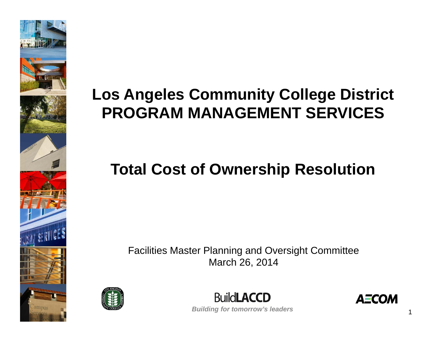

## **Los Angeles Community College District PROGRAM MANAGEMENT SERVICES**

## **Total Cost of Ownership Resolution**

Facilities Master Planning and Oversight Committee March 26, 2014





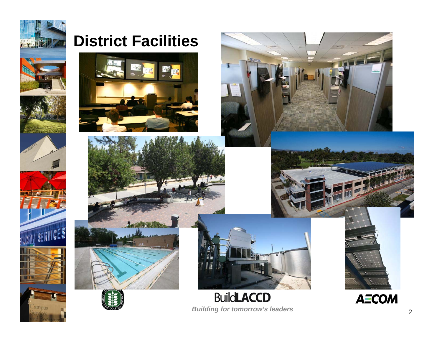

### **District Facilities**







### **BuildLACCD Building for tomorrow's leaders**



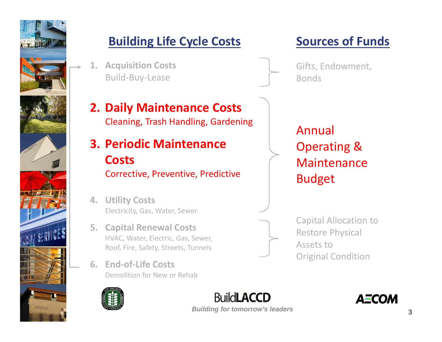

### **Building Life Cycle Costs Sources of Funds**

**1. Acquisition Costs** Build‐Buy‐Lease

### **2. Daily Maintenance Costs** Cleaning, Trash Handling, Gardening

- **3. Periodic MaintenanceCosts**Corrective, Preventive, Predictive
- **4. Utility Costs** Electricity, Gas, Water, Sewer
- **5. Capital Renewal Costs** HVAC, Water, Electric, Gas, Sewer, Roof, Fire, Safety, Streets, Tunnels
- **6. End‐of‐Life Costs** Demolition for New or Rehab



**Ruildl ACCD Building for tomorrow's leaders** 3

Gifts, Endowment, Bonds

AnnualOperating & MaintenanceBudget

Capital Allocation to Restore Physical Assets toOriginal Condition

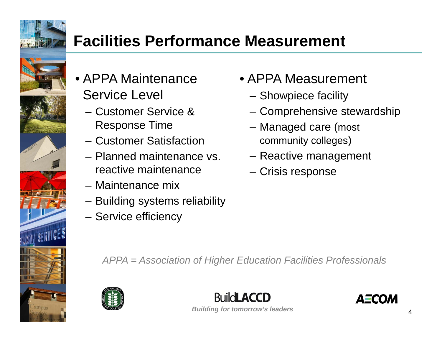

### **Facilities Performance Measurement**

- APPA Maintenance Service Level
	- Customer Service & Response Time
	- Customer Satisfaction
	- Planned maintenance vs. reactive maintenance
	- Maintenance mix
	- –Building systems reliability
	- –Service efficiency
- APPA Measurement
	- Showpiece facility
	- Comprehensive stewardship
	- Managed care (most community colleges)
	- Reactive management
	- Crisis response

*APPA = Association of Higher Education Facilities Professionals*



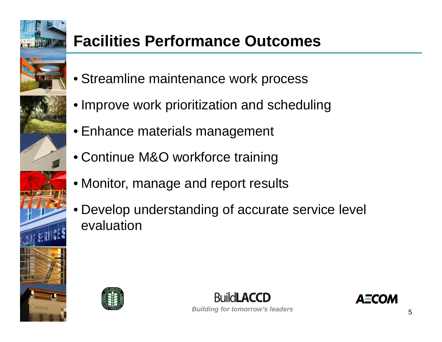

## **Facilities Performance Outcomes**

- Streamline maintenance work process
- Improve work prioritization and scheduling
- Enhance materials management
- Continue M&O workforce training
- Monitor, manage and report results
- Develop understanding of accurate service level evaluation



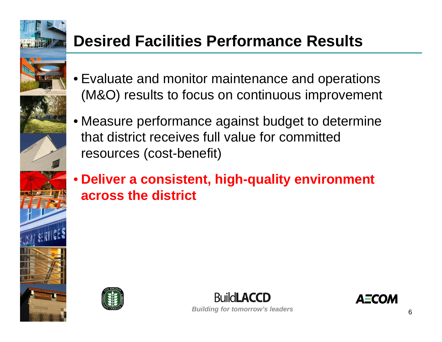

## **Desired Facilities Performance Results**

- Evaluate and monitor maintenance and operations (M&O) results to focus on continuous improvement
- Measure performance against budget to determine that district receives full value for committed resources (cost-benefit)
- **Deliver a consistent, high-quality environment across the district**